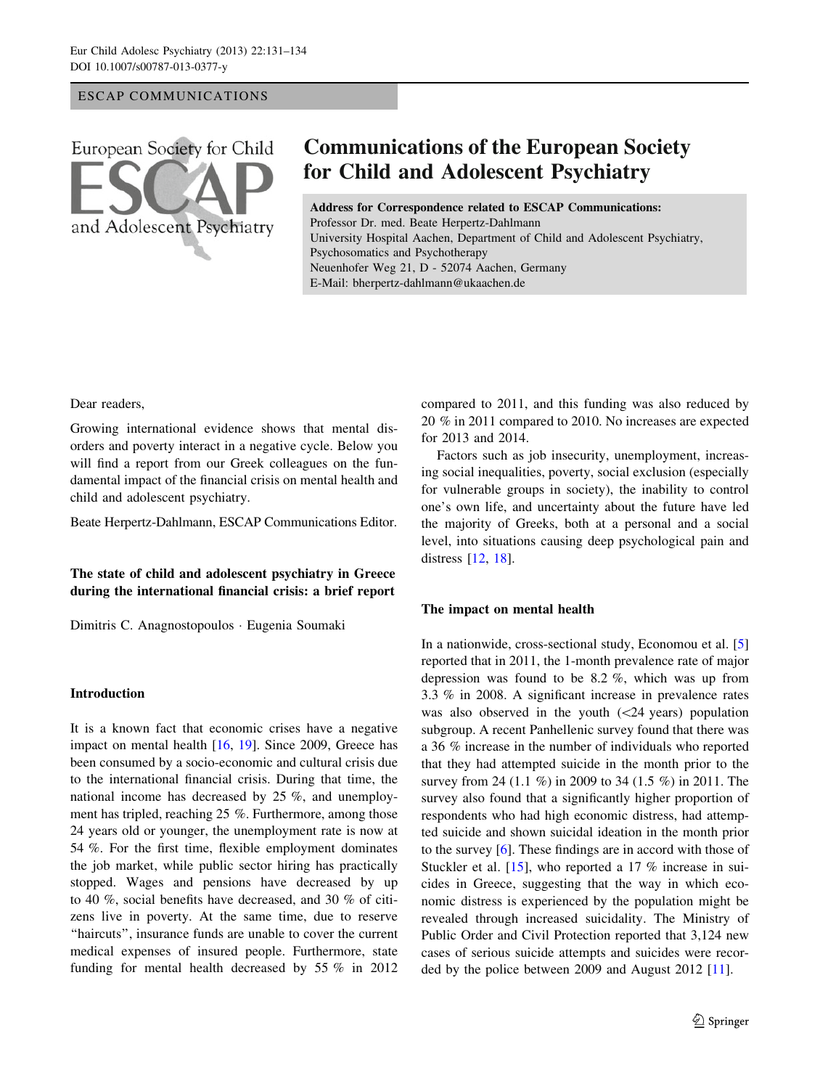## ESCAP COMMUNICATIONS



# **Communications of the European Society for Child and Adolescent Psychiatry**

Address for Correspondence related to ESCAP Communications: Professor Dr. med. Beate Herpertz-Dahlmann University Hospital Aachen, Department of Child and Adolescent Psychiatry, Psychosomatics and Psychotherapy Neuenhofer Weg 21, D - 52074 Aachen, Germany E-Mail: bherpertz-dahlmann@ukaachen.de

#### Dear readers,

Growing international evidence shows that mental disorders and poverty interact in a negative cycle. Below you will find a report from our Greek colleagues on the fundamental impact of the financial crisis on mental health and child and adolescent psychiatry.

Beate Herpertz-Dahlmann, ESCAP Communications Editor.

## The state of child and adolescent psychiatry in Greece during the international financial crisis: a brief report

Dimitris C. Anagnostopoulos - Eugenia Soumaki

## Introduction

It is a known fact that economic crises have a negative impact on mental health [\[16](#page-3-0), [19](#page-3-0)]. Since 2009, Greece has been consumed by a socio-economic and cultural crisis due to the international financial crisis. During that time, the national income has decreased by 25 %, and unemployment has tripled, reaching 25 %. Furthermore, among those 24 years old or younger, the unemployment rate is now at 54 %. For the first time, flexible employment dominates the job market, while public sector hiring has practically stopped. Wages and pensions have decreased by up to 40 %, social benefits have decreased, and 30 % of citizens live in poverty. At the same time, due to reserve "haircuts", insurance funds are unable to cover the current medical expenses of insured people. Furthermore, state funding for mental health decreased by 55 % in 2012 compared to 2011, and this funding was also reduced by 20 % in 2011 compared to 2010. No increases are expected for 2013 and 2014.

Factors such as job insecurity, unemployment, increasing social inequalities, poverty, social exclusion (especially for vulnerable groups in society), the inability to control one's own life, and uncertainty about the future have led the majority of Greeks, both at a personal and a social level, into situations causing deep psychological pain and distress [[12,](#page-2-0) [18\]](#page-3-0).

#### The impact on mental health

In a nationwide, cross-sectional study, Economou et al. [[5\]](#page-2-0) reported that in 2011, the 1-month prevalence rate of major depression was found to be 8.2 %, which was up from 3.3 % in 2008. A significant increase in prevalence rates was also observed in the youth  $(\leq 24 \text{ years})$  population subgroup. A recent Panhellenic survey found that there was a 36 % increase in the number of individuals who reported that they had attempted suicide in the month prior to the survey from 24 (1.1 %) in 2009 to 34 (1.5 %) in 2011. The survey also found that a significantly higher proportion of respondents who had high economic distress, had attempted suicide and shown suicidal ideation in the month prior to the survey [[6\]](#page-2-0). These findings are in accord with those of Stuckler et al. [[15\]](#page-3-0), who reported a 17 % increase in suicides in Greece, suggesting that the way in which economic distress is experienced by the population might be revealed through increased suicidality. The Ministry of Public Order and Civil Protection reported that 3,124 new cases of serious suicide attempts and suicides were recorded by the police between 2009 and August 2012 [\[11](#page-2-0)].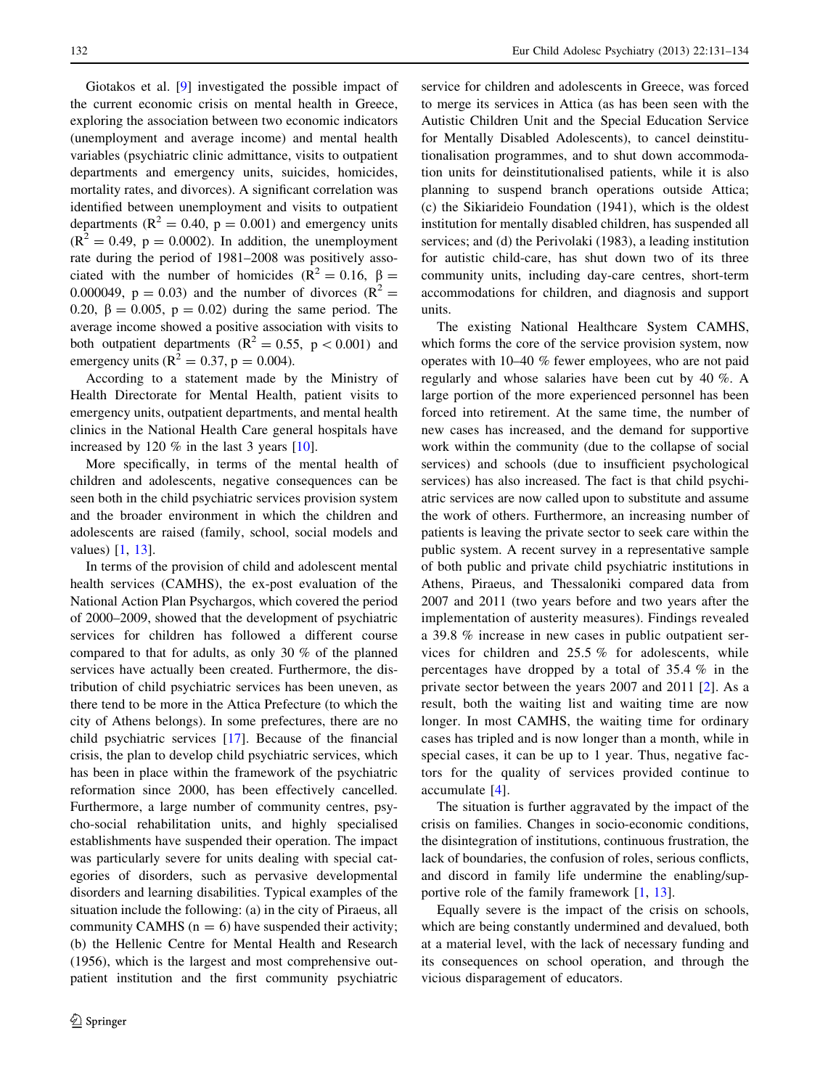Giotakos et al. [\[9](#page-2-0)] investigated the possible impact of the current economic crisis on mental health in Greece, exploring the association between two economic indicators (unemployment and average income) and mental health variables (psychiatric clinic admittance, visits to outpatient departments and emergency units, suicides, homicides, mortality rates, and divorces). A significant correlation was identified between unemployment and visits to outpatient departments ( $R^2 = 0.40$ ,  $p = 0.001$ ) and emergency units  $(R^2 = 0.49, p = 0.0002)$ . In addition, the unemployment rate during the period of 1981–2008 was positively associated with the number of homicides ( $R^2 = 0.16$ ,  $\beta =$ 0.000049,  $p = 0.03$ ) and the number of divorces ( $R^2 =$ 0.20,  $\beta = 0.005$ ,  $p = 0.02$ ) during the same period. The average income showed a positive association with visits to both outpatient departments ( $\mathbb{R}^2 = 0.55$ ,  $p < 0.001$ ) and emergency units ( $R^2 = 0.37$ ,  $p = 0.004$ ).

According to a statement made by the Ministry of Health Directorate for Mental Health, patient visits to emergency units, outpatient departments, and mental health clinics in the National Health Care general hospitals have increased by 120 % in the last 3 years [\[10](#page-2-0)].

More specifically, in terms of the mental health of children and adolescents, negative consequences can be seen both in the child psychiatric services provision system and the broader environment in which the children and adolescents are raised (family, school, social models and values) [[1,](#page-2-0) [13](#page-2-0)].

In terms of the provision of child and adolescent mental health services (CAMHS), the ex-post evaluation of the National Action Plan Psychargos, which covered the period of 2000–2009, showed that the development of psychiatric services for children has followed a different course compared to that for adults, as only 30 % of the planned services have actually been created. Furthermore, the distribution of child psychiatric services has been uneven, as there tend to be more in the Attica Prefecture (to which the city of Athens belongs). In some prefectures, there are no child psychiatric services [\[17](#page-3-0)]. Because of the financial crisis, the plan to develop child psychiatric services, which has been in place within the framework of the psychiatric reformation since 2000, has been effectively cancelled. Furthermore, a large number of community centres, psycho-social rehabilitation units, and highly specialised establishments have suspended their operation. The impact was particularly severe for units dealing with special categories of disorders, such as pervasive developmental disorders and learning disabilities. Typical examples of the situation include the following: (a) in the city of Piraeus, all community CAMHS ( $n = 6$ ) have suspended their activity; (b) the Hellenic Centre for Mental Health and Research (1956), which is the largest and most comprehensive outpatient institution and the first community psychiatric service for children and adolescents in Greece, was forced to merge its services in Attica (as has been seen with the Autistic Children Unit and the Special Education Service for Mentally Disabled Adolescents), to cancel deinstitutionalisation programmes, and to shut down accommodation units for deinstitutionalised patients, while it is also planning to suspend branch operations outside Attica; (c) the Sikiarideio Foundation (1941), which is the oldest institution for mentally disabled children, has suspended all services; and (d) the Perivolaki (1983), a leading institution for autistic child-care, has shut down two of its three community units, including day-care centres, short-term accommodations for children, and diagnosis and support units.

The existing National Healthcare System CAMHS, which forms the core of the service provision system, now operates with 10–40 % fewer employees, who are not paid regularly and whose salaries have been cut by 40 %. A large portion of the more experienced personnel has been forced into retirement. At the same time, the number of new cases has increased, and the demand for supportive work within the community (due to the collapse of social services) and schools (due to insufficient psychological services) has also increased. The fact is that child psychiatric services are now called upon to substitute and assume the work of others. Furthermore, an increasing number of patients is leaving the private sector to seek care within the public system. A recent survey in a representative sample of both public and private child psychiatric institutions in Athens, Piraeus, and Thessaloniki compared data from 2007 and 2011 (two years before and two years after the implementation of austerity measures). Findings revealed a 39.8 % increase in new cases in public outpatient services for children and 25.5 % for adolescents, while percentages have dropped by a total of 35.4 % in the private sector between the years 2007 and 2011 [\[2](#page-2-0)]. As a result, both the waiting list and waiting time are now longer. In most CAMHS, the waiting time for ordinary cases has tripled and is now longer than a month, while in special cases, it can be up to 1 year. Thus, negative factors for the quality of services provided continue to accumulate [[4\]](#page-2-0).

The situation is further aggravated by the impact of the crisis on families. Changes in socio-economic conditions, the disintegration of institutions, continuous frustration, the lack of boundaries, the confusion of roles, serious conflicts, and discord in family life undermine the enabling/supportive role of the family framework [\[1](#page-2-0), [13\]](#page-2-0).

Equally severe is the impact of the crisis on schools, which are being constantly undermined and devalued, both at a material level, with the lack of necessary funding and its consequences on school operation, and through the vicious disparagement of educators.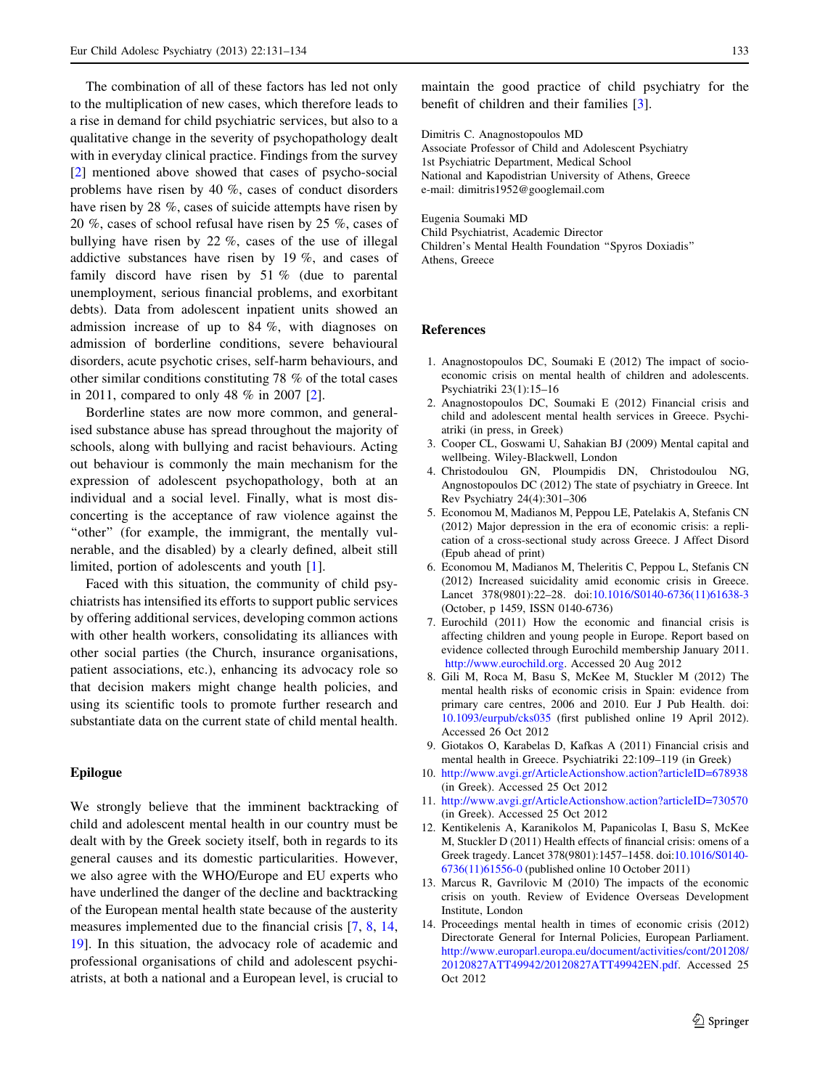<span id="page-2-0"></span>The combination of all of these factors has led not only to the multiplication of new cases, which therefore leads to a rise in demand for child psychiatric services, but also to a qualitative change in the severity of psychopathology dealt with in everyday clinical practice. Findings from the survey [2] mentioned above showed that cases of psycho-social problems have risen by 40 %, cases of conduct disorders have risen by 28 %, cases of suicide attempts have risen by 20 %, cases of school refusal have risen by 25 %, cases of bullying have risen by 22 %, cases of the use of illegal addictive substances have risen by 19 %, and cases of family discord have risen by 51 % (due to parental unemployment, serious financial problems, and exorbitant debts). Data from adolescent inpatient units showed an admission increase of up to 84 %, with diagnoses on admission of borderline conditions, severe behavioural disorders, acute psychotic crises, self-harm behaviours, and other similar conditions constituting 78 % of the total cases in 2011, compared to only 48 % in 2007 [2].

Borderline states are now more common, and generalised substance abuse has spread throughout the majority of schools, along with bullying and racist behaviours. Acting out behaviour is commonly the main mechanism for the expression of adolescent psychopathology, both at an individual and a social level. Finally, what is most disconcerting is the acceptance of raw violence against the "other" (for example, the immigrant, the mentally vulnerable, and the disabled) by a clearly defined, albeit still limited, portion of adolescents and youth [1].

Faced with this situation, the community of child psychiatrists has intensified its efforts to support public services by offering additional services, developing common actions with other health workers, consolidating its alliances with other social parties (the Church, insurance organisations, patient associations, etc.), enhancing its advocacy role so that decision makers might change health policies, and using its scientific tools to promote further research and substantiate data on the current state of child mental health.

### Epilogue

We strongly believe that the imminent backtracking of child and adolescent mental health in our country must be dealt with by the Greek society itself, both in regards to its general causes and its domestic particularities. However, we also agree with the WHO/Europe and EU experts who have underlined the danger of the decline and backtracking of the European mental health state because of the austerity measures implemented due to the financial crisis [7, 8, 14, [19](#page-3-0)]. In this situation, the advocacy role of academic and professional organisations of child and adolescent psychiatrists, at both a national and a European level, is crucial to

maintain the good practice of child psychiatry for the benefit of children and their families [3].

Dimitris C. Anagnostopoulos MD

Associate Professor of Child and Adolescent Psychiatry 1st Psychiatric Department, Medical School National and Kapodistrian University of Athens, Greece e-mail: dimitris1952@googlemail.com

Eugenia Soumaki MD Child Psychiatrist, Academic Director Children's Mental Health Foundation ''Spyros Doxiadis'' Athens, Greece

## References

- 1. Anagnostopoulos DC, Soumaki E (2012) The impact of socioeconomic crisis on mental health of children and adolescents. Psychiatriki 23(1):15–16
- 2. Anagnostopoulos DC, Soumaki E (2012) Financial crisis and child and adolescent mental health services in Greece. Psychiatriki (in press, in Greek)
- 3. Cooper CL, Goswami U, Sahakian BJ (2009) Mental capital and wellbeing. Wiley-Blackwell, London
- 4. Christodoulou GN, Ploumpidis DN, Christodoulou NG, Angnostopoulos DC (2012) The state of psychiatry in Greece. Int Rev Psychiatry 24(4):301–306
- 5. Economou M, Madianos M, Peppou LE, Patelakis A, Stefanis CN (2012) Major depression in the era of economic crisis: a replication of a cross-sectional study across Greece. J Affect Disord (Epub ahead of print)
- 6. Economou M, Madianos M, Theleritis C, Peppou L, Stefanis CN (2012) Increased suicidality amid economic crisis in Greece. Lancet 378(9801):22–28. doi:[10.1016/S0140-6736\(11\)61638-3](http://dx.doi.org/10.1016/S0140-6736(11)61638-3) (October, p 1459, ISSN 0140-6736)
- 7. Eurochild (2011) How the economic and financial crisis is affecting children and young people in Europe. Report based on evidence collected through Eurochild membership January 2011. [http://www.eurochild.org.](http://www.eurochild.org) Accessed 20 Aug 2012
- 8. Gili M, Roca M, Basu S, McKee M, Stuckler M (2012) The mental health risks of economic crisis in Spain: evidence from primary care centres, 2006 and 2010. Eur J Pub Health. doi: [10.1093/eurpub/cks035](http://dx.doi.org/10.1093/eurpub/cks035) (first published online 19 April 2012). Accessed 26 Oct 2012
- 9. Giotakos O, Karabelas D, Kafkas A (2011) Financial crisis and mental health in Greece. Psychiatriki 22:109–119 (in Greek)
- 10. <http://www.avgi.gr/ArticleActionshow.action?articleID=678938> (in Greek). Accessed 25 Oct 2012
- 11. <http://www.avgi.gr/ArticleActionshow.action?articleID=730570> (in Greek). Accessed 25 Oct 2012
- 12. Kentikelenis A, Karanikolos M, Papanicolas I, Basu S, McKee M, Stuckler D (2011) Health effects of financial crisis: omens of a Greek tragedy. Lancet 378(9801):1457–1458. doi[:10.1016/S0140-](http://dx.doi.org/10.1016/S0140-6736(11)61556-0) [6736\(11\)61556-0](http://dx.doi.org/10.1016/S0140-6736(11)61556-0) (published online 10 October 2011)
- 13. Marcus R, Gavrilovic M (2010) The impacts of the economic crisis on youth. Review of Evidence Overseas Development Institute, London
- 14. Proceedings mental health in times of economic crisis (2012) Directorate General for Internal Policies, European Parliament. [http://www.europarl.europa.eu/document/activities/cont/201208/](http://www.europarl.europa.eu/document/activities/cont/201208/20120827ATT49942/20120827ATT49942EN.pdf) [20120827ATT49942/20120827ATT49942EN.pdf.](http://www.europarl.europa.eu/document/activities/cont/201208/20120827ATT49942/20120827ATT49942EN.pdf) Accessed 25 Oct 2012